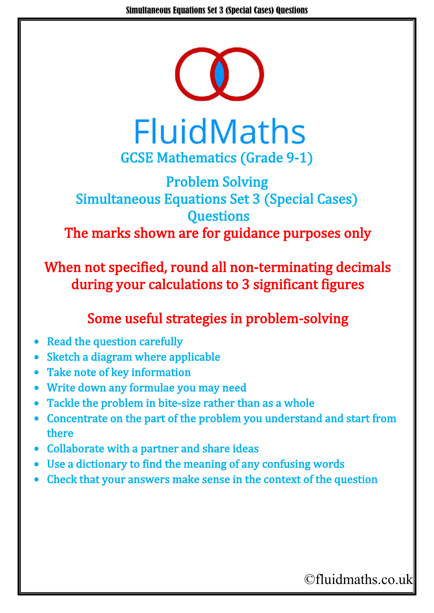

**FluidMaths** GCSE Mathematics (Grade 9-1)

## Problem Solving Simultaneous Equations Set 3 (Special Cases) **Questions** The marks shown are for guidance purposes only

When not specified, round all non-terminating decimals during your calculations to 3 significant figures

## Some useful strategies in problem-solving

- Read the question carefully
- Sketch a diagram where applicable
- Take note of key information
- Write down any formulae you may need
- Tackle the problem in bite-size rather than as a whole
- Concentrate on the part of the problem you understand and start from there
- Collaborate with a partner and share ideas
- Use a dictionary to find the meaning of any confusing words
- Check that your answers make sense in the context of the question

## ©fluidmaths.co.uk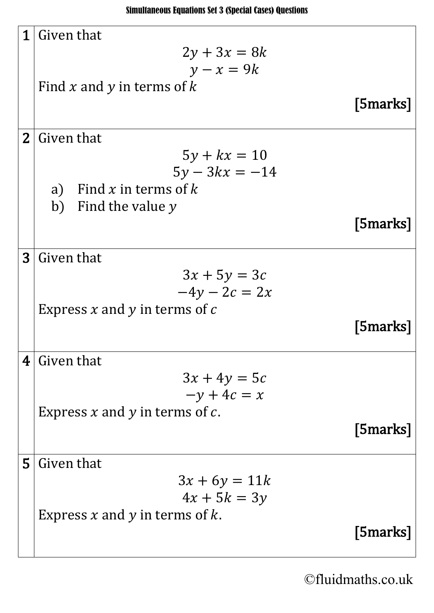| 1              | Given that                            |          |
|----------------|---------------------------------------|----------|
|                | $2y + 3x = 8k$                        |          |
|                | $y - x = 9k$                          |          |
|                | Find x and y in terms of k            |          |
|                |                                       | [5marks] |
| 2 <sub>1</sub> | Given that                            |          |
|                | $5y + kx = 10$                        |          |
|                | $5y - 3kx = -14$                      |          |
|                | Find x in terms of k<br>a)            |          |
|                | b) Find the value $y$                 |          |
|                |                                       | [5marks] |
| $\bf{3}$       | Given that                            |          |
|                | $3x + 5y = 3c$                        |          |
|                | $-4y - 2c = 2x$                       |          |
|                | Express x and y in terms of $c$       |          |
|                |                                       | [5marks] |
|                |                                       |          |
| 4              | Given that                            |          |
|                | $3x + 4y = 5c$                        |          |
|                | $-y + 4c = x$                         |          |
|                | Express $x$ and $y$ in terms of $c$ . |          |
|                |                                       | [5marks] |
| 5              | Given that                            |          |
|                | $3x + 6y = 11k$                       |          |
|                | $4x + 5k = 3y$                        |          |
|                | Express $x$ and $y$ in terms of $k$ . |          |
|                |                                       | [5marks] |
|                |                                       |          |

©fluidmaths.co.uk